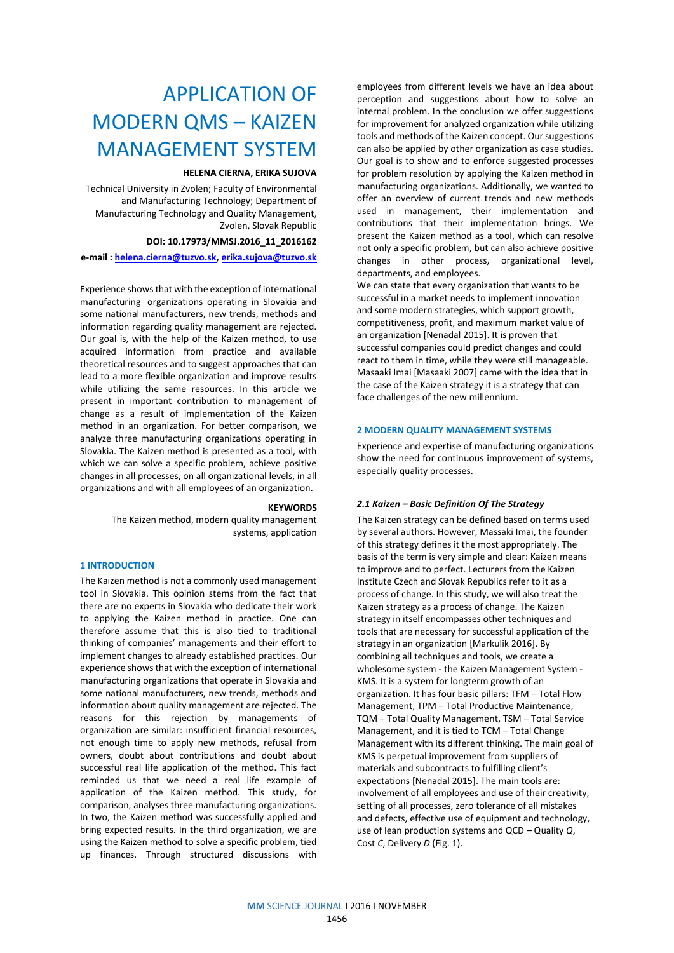# APPLICATION OF MODERN QMS – KAIZEN MANAGEMENT SYSTEM

## **HELENA CIERNA, ERIKA SUJOVA**

Technical University in Zvolen; Faculty of Environmental and Manufacturing Technology; Department of Manufacturing Technology and Quality Management, Zvolen, Slovak Republic

## **DOI: 10.17973/MMSJ.2016\_11\_2016162**

**e-mail [: helena.cierna@tuzvo.sk,](mailto:helena.cierna@tuzvo.sk) [erika.sujova@tuzvo.sk](mailto:erika.sujova@tuzvo.sk)**

Experience shows that with the exception of international manufacturing organizations operating in Slovakia and some national manufacturers, new trends, methods and information regarding quality management are rejected. Our goal is, with the help of the Kaizen method, to use acquired information from practice and available theoretical resources and to suggest approaches that can lead to a more flexible organization and improve results while utilizing the same resources. In this article we present in important contribution to management of change as a result of implementation of the Kaizen method in an organization. For better comparison, we analyze three manufacturing organizations operating in Slovakia. The Kaizen method is presented as a tool, with which we can solve a specific problem, achieve positive changes in all processes, on all organizational levels, in all organizations and with all employees of an organization.

#### **KEYWORDS**

The Kaizen method, modern quality management systems, application

## **1 INTRODUCTION**

The Kaizen method is not a commonly used management tool in Slovakia. This opinion stems from the fact that there are no experts in Slovakia who dedicate their work to applying the Kaizen method in practice. One can therefore assume that this is also tied to traditional thinking of companies' managements and their effort to implement changes to already established practices. Our experience shows that with the exception of international manufacturing organizations that operate in Slovakia and some national manufacturers, new trends, methods and information about quality management are rejected. The reasons for this rejection by managements of organization are similar: insufficient financial resources, not enough time to apply new methods, refusal from owners, doubt about contributions and doubt about successful real life application of the method. This fact reminded us that we need a real life example of application of the Kaizen method. This study, for comparison, analyses three manufacturing organizations. In two, the Kaizen method was successfully applied and bring expected results. In the third organization, we are using the Kaizen method to solve a specific problem, tied up finances. Through structured discussions with

employees from different levels we have an idea about perception and suggestions about how to solve an internal problem. In the conclusion we offer suggestions for improvement for analyzed organization while utilizing tools and methods of the Kaizen concept. Our suggestions can also be applied by other organization as case studies. Our goal is to show and to enforce suggested processes for problem resolution by applying the Kaizen method in manufacturing organizations. Additionally, we wanted to offer an overview of current trends and new methods used in management, their implementation and contributions that their implementation brings. We present the Kaizen method as a tool, which can resolve not only a specific problem, but can also achieve positive changes in other process, organizational level, departments, and employees.

We can state that every organization that wants to be successful in a market needs to implement innovation and some modern strategies, which support growth, competitiveness, profit, and maximum market value of an organization [Nenadal 2015]. It is proven that successful companies could predict changes and could react to them in time, while they were still manageable. Masaaki Imai [Masaaki 2007] came with the idea that in the case of the Kaizen strategy it is a strategy that can face challenges of the new millennium.

### **2 MODERN QUALITY MANAGEMENT SYSTEMS**

Experience and expertise of manufacturing organizations show the need for continuous improvement of systems, especially quality processes.

## *2.1 Kaizen – Basic Definition Of The Strategy*

The Kaizen strategy can be defined based on terms used by several authors. However, Massaki Imai, the founder of this strategy defines it the most appropriately. The basis of the term is very simple and clear: Kaizen means to improve and to perfect. Lecturers from the Kaizen Institute Czech and Slovak Republics refer to it as a process of change. In this study, we will also treat the Kaizen strategy as a process of change. The Kaizen strategy in itself encompasses other techniques and tools that are necessary for successful application of the strategy in an organization [Markulik 2016]. By combining all techniques and tools, we create a wholesome system - the Kaizen Management System - KMS. It is a system for longterm growth of an organization. It has four basic pillars: TFM – Total Flow Management, TPM – Total Productive Maintenance, TQM – Total Quality Management, TSM – Total Service Management, and it is tied to TCM – Total Change Management with its different thinking. The main goal of KMS is perpetual improvement from suppliers of materials and subcontracts to fulfilling client's expectations [Nenadal 2015]. The main tools are: involvement of all employees and use of their creativity, setting of all processes, zero tolerance of all mistakes and defects, effective use of equipment and technology, use of lean production systems and QCD – Quality *Q*, Cost *C*, Delivery *D* (Fig. 1).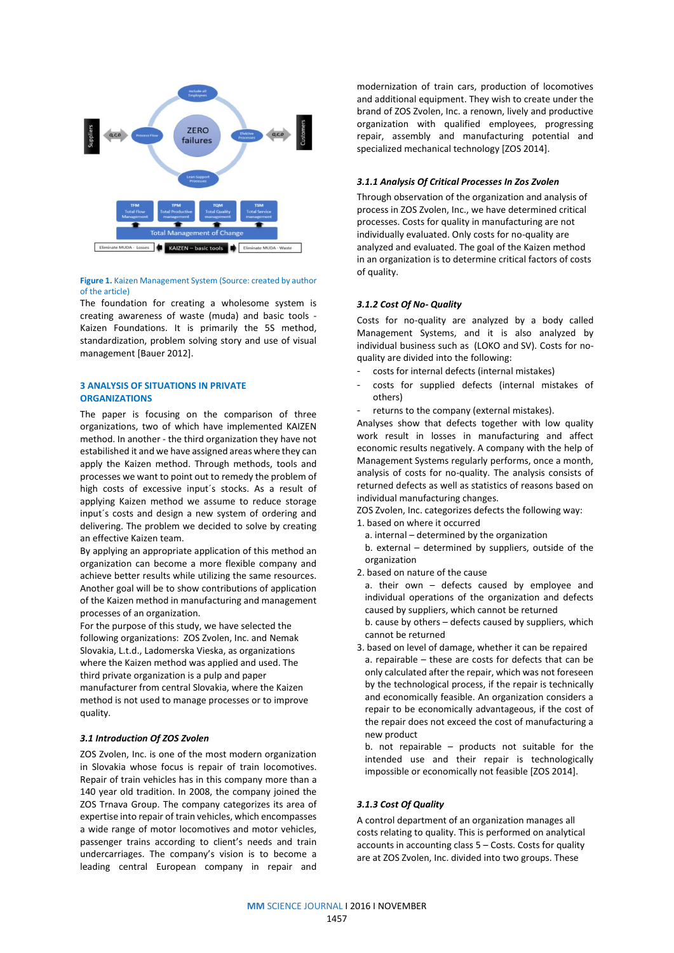

#### **Figure 1.** Kaizen Management System (Source: created by author of the article)

The foundation for creating a wholesome system is creating awareness of waste (muda) and basic tools - Kaizen Foundations. It is primarily the 5S method, standardization, problem solving story and use of visual management [Bauer 2012].

### **3 ANALYSIS OF SITUATIONS IN PRIVATE ORGANIZATIONS**

The paper is focusing on the comparison of three organizations, two of which have implemented KAIZEN method. In another - the third organization they have not estabilished it and we have assigned areas where they can apply the Kaizen method. Through methods, tools and processes we want to point out to remedy the problem of high costs of excessive input´s stocks. As a result of applying Kaizen method we assume to reduce storage input´s costs and design a new system of ordering and delivering. The problem we decided to solve by creating an effective Kaizen team.

By applying an appropriate application of this method an organization can become a more flexible company and achieve better results while utilizing the same resources. Another goal will be to show contributions of application of the Kaizen method in manufacturing and management processes of an organization.

For the purpose of this study, we have selected the following organizations: ZOS Zvolen, Inc. and Nemak Slovakia, L.t.d., Ladomerska Vieska, as organizations where the Kaizen method was applied and used. The third private organization is a pulp and paper manufacturer from central Slovakia, where the Kaizen method is not used to manage processes or to improve quality.

## *3.1 Introduction Of ZOS Zvolen*

ZOS Zvolen, Inc. is one of the most modern organization in Slovakia whose focus is repair of train locomotives. Repair of train vehicles has in this company more than a 140 year old tradition. In 2008, the company joined the ZOS Trnava Group. The company categorizes its area of expertise into repair of train vehicles, which encompasses a wide range of motor locomotives and motor vehicles, passenger trains according to client's needs and train undercarriages. The company's vision is to become a leading central European company in repair and modernization of train cars, production of locomotives and additional equipment. They wish to create under the brand of ZOS Zvolen, Inc. a renown, lively and productive organization with qualified employees, progressing repair, assembly and manufacturing potential and specialized mechanical technology [ZOS 2014].

## *3.1.1 Analysis Of Critical Processes In Zos Zvolen*

Through observation of the organization and analysis of process in ZOS Zvolen, Inc., we have determined critical processes. Costs for quality in manufacturing are not individually evaluated. Only costs for no-quality are analyzed and evaluated. The goal of the Kaizen method in an organization is to determine critical factors of costs of quality.

## *3.1.2 Cost Of No- Quality*

Costs for no-quality are analyzed by a body called Management Systems, and it is also analyzed by individual business such as (LOKO and SV). Costs for noquality are divided into the following:

- costs for internal defects (internal mistakes)
- costs for supplied defects (internal mistakes of others)
- returns to the company (external mistakes).

Analyses show that defects together with low quality work result in losses in manufacturing and affect economic results negatively. A company with the help of Management Systems regularly performs, once a month, analysis of costs for no-quality. The analysis consists of returned defects as well as statistics of reasons based on individual manufacturing changes.

ZOS Zvolen, Inc. categorizes defects the following way:

- 1. based on where it occurred
	- a. internal determined by the organization
	- b. external determined by suppliers, outside of the organization
- 2. based on nature of the cause

a. their own – defects caused by employee and individual operations of the organization and defects caused by suppliers, which cannot be returned

b. cause by others – defects caused by suppliers, which cannot be returned

3. based on level of damage, whether it can be repaired a. repairable – these are costs for defects that can be only calculated after the repair, which was not foreseen by the technological process, if the repair is technically and economically feasible. An organization considers a repair to be economically advantageous, if the cost of the repair does not exceed the cost of manufacturing a new product

b. not repairable – products not suitable for the intended use and their repair is technologically impossible or economically not feasible [ZOS 2014].

#### *3.1.3 Cost Of Quality*

A control department of an organization manages all costs relating to quality. This is performed on analytical accounts in accounting class 5 – Costs. Costs for quality are at ZOS Zvolen, Inc. divided into two groups. These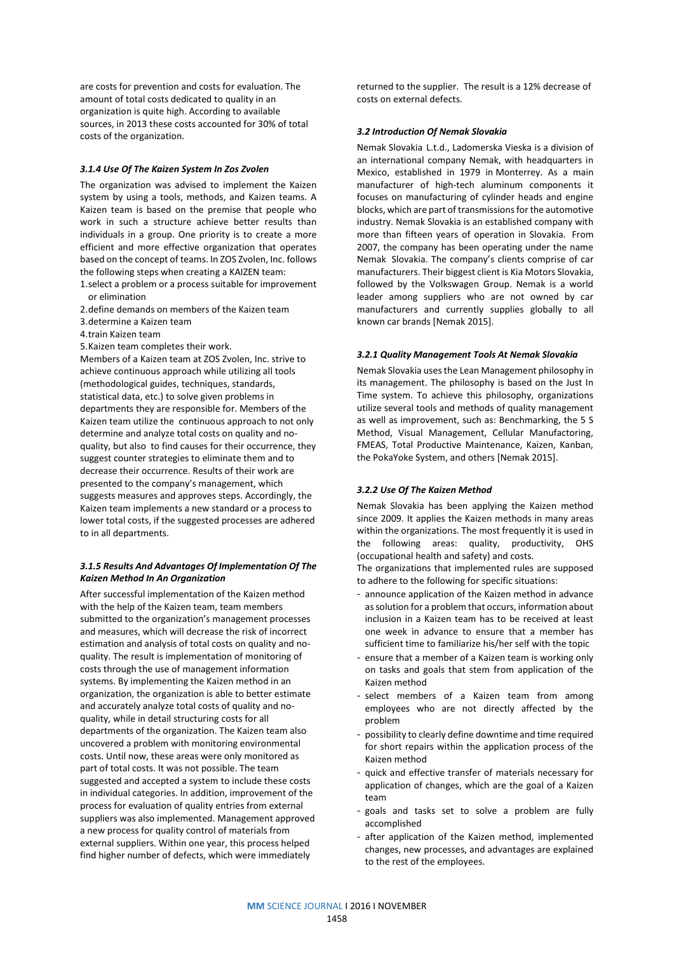are costs for prevention and costs for evaluation. The amount of total costs dedicated to quality in an organization is quite high. According to available sources, in 2013 these costs accounted for 30% of total costs of the organization.

## *3.1.4 Use Of The Kaizen System In Zos Zvolen*

The organization was advised to implement the Kaizen system by using a tools, methods, and Kaizen teams. A Kaizen team is based on the premise that people who work in such a structure achieve better results than individuals in a group. One priority is to create a more efficient and more effective organization that operates based on the concept of teams. In ZOS Zvolen, Inc. follows the following steps when creating a KAIZEN team:

- 1.select a problem or a process suitable for improvement or elimination
- 2.define demands on members of the Kaizen team
- 3.determine a Kaizen team
- 4.train Kaizen team
- 5.Kaizen team completes their work.

Members of a Kaizen team at ZOS Zvolen, Inc. strive to achieve continuous approach while utilizing all tools (methodological guides, techniques, standards, statistical data, etc.) to solve given problems in departments they are responsible for. Members of the Kaizen team utilize the continuous approach to not only determine and analyze total costs on quality and noquality, but also to find causes for their occurrence, they suggest counter strategies to eliminate them and to decrease their occurrence. Results of their work are presented to the company's management, which suggests measures and approves steps. Accordingly, the Kaizen team implements a new standard or a process to lower total costs, if the suggested processes are adhered to in all departments.

## *3.1.5 Results And Advantages Of Implementation Of The Kaizen Method In An Organization*

After successful implementation of the Kaizen method with the help of the Kaizen team, team members submitted to the organization's management processes and measures, which will decrease the risk of incorrect estimation and analysis of total costs on quality and noquality. The result is implementation of monitoring of costs through the use of management information systems. By implementing the Kaizen method in an organization, the organization is able to better estimate and accurately analyze total costs of quality and noquality, while in detail structuring costs for all departments of the organization. The Kaizen team also uncovered a problem with monitoring environmental costs. Until now, these areas were only monitored as part of total costs. It was not possible. The team suggested and accepted a system to include these costs in individual categories. In addition, improvement of the process for evaluation of quality entries from external suppliers was also implemented. Management approved a new process for quality control of materials from external suppliers. Within one year, this process helped find higher number of defects, which were immediately

returned to the supplier. The result is a 12% decrease of costs on external defects.

### *3.2 Introduction Of Nemak Slovakia*

Nemak Slovakia L.t.d., Ladomerska Vieska is a division of an international company Nemak, with headquarters in Mexico, established in 1979 in Monterrey. As a main manufacturer of high-tech aluminum components it focuses on manufacturing of cylinder heads and engine blocks, which are part of transmissions for the automotive industry. Nemak Slovakia is an established company with more than fifteen years of operation in Slovakia. From 2007, the company has been operating under the name Nemak Slovakia. The company's clients comprise of car manufacturers. Their biggest client is Kia Motors Slovakia, followed by the Volkswagen Group. Nemak is a world leader among suppliers who are not owned by car manufacturers and currently supplies globally to all known car brands [Nemak 2015].

#### *3.2.1 Quality Management Tools At Nemak Slovakia*

Nemak Slovakia uses the Lean Management philosophy in its management. The philosophy is based on the Just In Time system. To achieve this philosophy, organizations utilize several tools and methods of quality management as well as improvement, such as: Benchmarking, the 5 S Method, Visual Management, Cellular Manufactoring, FMEAS, Total Productive Maintenance, Kaizen, Kanban, the PokaYoke System, and others [Nemak 2015].

#### *3.2.2 Use Of The Kaizen Method*

Nemak Slovakia has been applying the Kaizen method since 2009. It applies the Kaizen methods in many areas within the organizations. The most frequently it is used in the following areas: quality, productivity, OHS (occupational health and safety) and costs.

The organizations that implemented rules are supposed to adhere to the following for specific situations:

- announce application of the Kaizen method in advance as solution for a problem that occurs, information about inclusion in a Kaizen team has to be received at least one week in advance to ensure that a member has sufficient time to familiarize his/her self with the topic
- ensure that a member of a Kaizen team is working only on tasks and goals that stem from application of the Kaizen method
- select members of a Kaizen team from among employees who are not directly affected by the problem
- possibility to clearly define downtime and time required for short repairs within the application process of the Kaizen method
- quick and effective transfer of materials necessary for application of changes, which are the goal of a Kaizen team
- goals and tasks set to solve a problem are fully accomplished
- after application of the Kaizen method, implemented changes, new processes, and advantages are explained to the rest of the employees.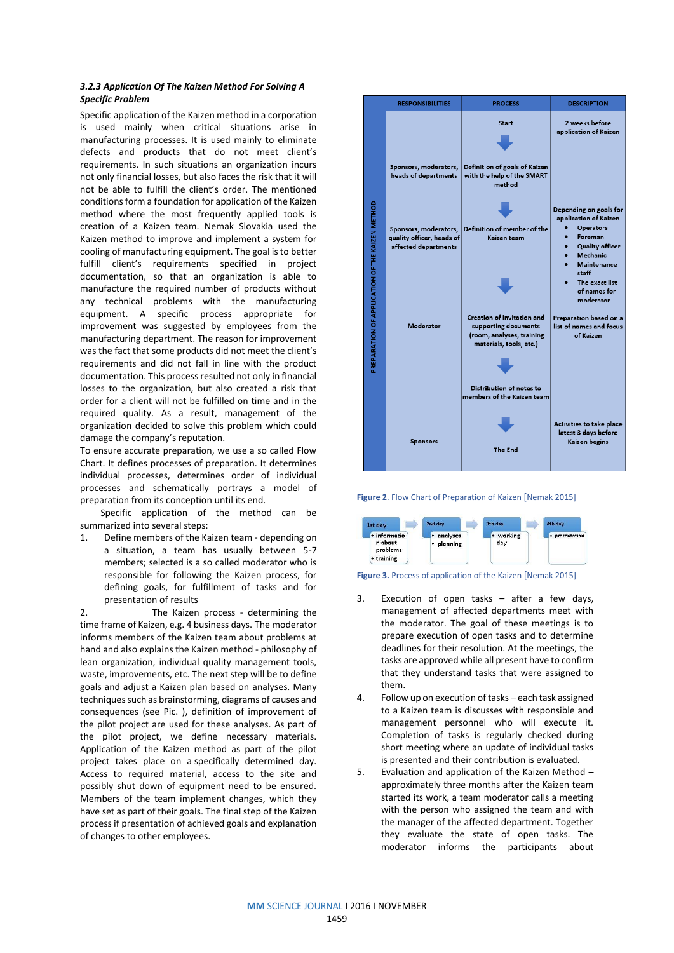# *3.2.3 Application Of The Kaizen Method For Solving A Specific Problem*

Specific application of the Kaizen method in a corporation is used mainly when critical situations arise in manufacturing processes. It is used mainly to eliminate defects and products that do not meet client's requirements. In such situations an organization incurs not only financial losses, but also faces the risk that it will not be able to fulfill the client's order. The mentioned conditions form a foundation for application of the Kaizen method where the most frequently applied tools is creation of a Kaizen team. Nemak Slovakia used the Kaizen method to improve and implement a system for cooling of manufacturing equipment. The goal is to better fulfill client's requirements specified in project documentation, so that an organization is able to manufacture the required number of products without any technical problems with the manufacturing equipment. A specific process appropriate for improvement was suggested by employees from the manufacturing department. The reason for improvement was the fact that some products did not meet the client's requirements and did not fall in line with the product documentation. This process resulted not only in financial losses to the organization, but also created a risk that order for a client will not be fulfilled on time and in the required quality. As a result, management of the organization decided to solve this problem which could damage the company's reputation.

To ensure accurate preparation, we use a so called Flow Chart. It defines processes of preparation. It determines individual processes, determines order of individual processes and schematically portrays a model of preparation from its conception until its end.

Specific application of the method can be summarized into several steps:

1. Define members of the Kaizen team - depending on a situation, a team has usually between 5-7 members; selected is a so called moderator who is responsible for following the Kaizen process, for defining goals, for fulfillment of tasks and for presentation of results

2. The Kaizen process - determining the time frame of Kaizen, e.g. 4 business days. The moderator informs members of the Kaizen team about problems at hand and also explains the Kaizen method - philosophy of lean organization, individual quality management tools, waste, improvements, etc. The next step will be to define goals and adjust a Kaizen plan based on analyses. Many techniques such as brainstorming, diagrams of causes and consequences (see Pic. ), definition of improvement of the pilot project are used for these analyses. As part of the pilot project, we define necessary materials. Application of the Kaizen method as part of the pilot project takes place on a specifically determined day. Access to required material, access to the site and possibly shut down of equipment need to be ensured. Members of the team implement changes, which they have set as part of their goals. The final step of the Kaizen process if presentation of achieved goals and explanation of changes to other employees.



**Figure 2**. Flow Chart of Preparation of Kaizen [Nemak 2015]





- 3. Execution of open tasks after a few days, management of affected departments meet with the moderator. The goal of these meetings is to prepare execution of open tasks and to determine deadlines for their resolution. At the meetings, the tasks are approved while all present have to confirm that they understand tasks that were assigned to them.
- 4. Follow up on execution of tasks each task assigned to a Kaizen team is discusses with responsible and management personnel who will execute it. Completion of tasks is regularly checked during short meeting where an update of individual tasks is presented and their contribution is evaluated.
- 5. Evaluation and application of the Kaizen Method approximately three months after the Kaizen team started its work, a team moderator calls a meeting with the person who assigned the team and with the manager of the affected department. Together they evaluate the state of open tasks. The moderator informs the participants about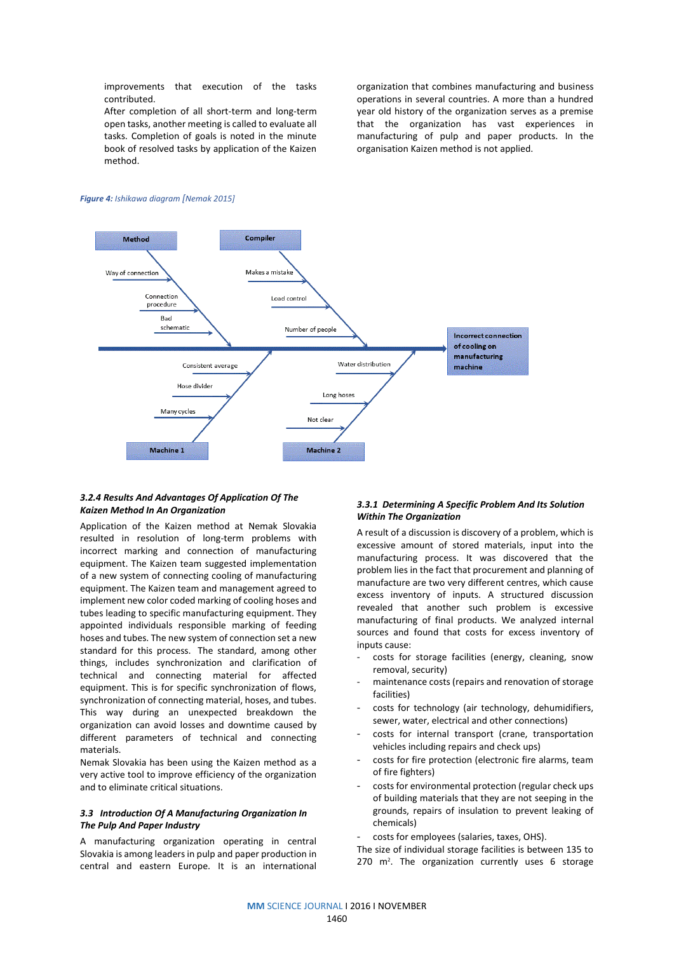improvements that execution of the tasks contributed.

After completion of all short-term and long-term open tasks, another meeting is called to evaluate all tasks. Completion of goals is noted in the minute book of resolved tasks by application of the Kaizen method.

organization that combines manufacturing and business operations in several countries. A more than a hundred year old history of the organization serves as a premise that the organization has vast experiences in manufacturing of pulp and paper products. In the organisation Kaizen method is not applied.

#### *Figure 4: Ishikawa diagram [Nemak 2015]*



### *3.2.4 Results And Advantages Of Application Of The Kaizen Method In An Organization*

Application of the Kaizen method at Nemak Slovakia resulted in resolution of long-term problems with incorrect marking and connection of manufacturing equipment. The Kaizen team suggested implementation of a new system of connecting cooling of manufacturing equipment. The Kaizen team and management agreed to implement new color coded marking of cooling hoses and tubes leading to specific manufacturing equipment. They appointed individuals responsible marking of feeding hoses and tubes. The new system of connection set a new standard for this process. The standard, among other things, includes synchronization and clarification of technical and connecting material for affected equipment. This is for specific synchronization of flows, synchronization of connecting material, hoses, and tubes. This way during an unexpected breakdown the organization can avoid losses and downtime caused by different parameters of technical and connecting materials.

Nemak Slovakia has been using the Kaizen method as a very active tool to improve efficiency of the organization and to eliminate critical situations.

# *3.3 Introduction Of A Manufacturing Organization In The Pulp And Paper Industry*

A manufacturing organization operating in central Slovakia is among leaders in pulp and paper production in central and eastern Europe. It is an international

## *3.3.1 Determining A Specific Problem And Its Solution Within The Organization*

A result of a discussion is discovery of a problem, which is excessive amount of stored materials, input into the manufacturing process. It was discovered that the problem lies in the fact that procurement and planning of manufacture are two very different centres, which cause excess inventory of inputs. A structured discussion revealed that another such problem is excessive manufacturing of final products. We analyzed internal sources and found that costs for excess inventory of inputs cause:

- costs for storage facilities (energy, cleaning, snow removal, security)
- maintenance costs (repairs and renovation of storage facilities)
- costs for technology (air technology, dehumidifiers, sewer, water, electrical and other connections)
- costs for internal transport (crane, transportation vehicles including repairs and check ups)
- costs for fire protection (electronic fire alarms, team of fire fighters)
- costs for environmental protection (regular check ups of building materials that they are not seeping in the grounds, repairs of insulation to prevent leaking of chemicals)

costs for employees (salaries, taxes, OHS).

The size of individual storage facilities is between 135 to 270 m<sup>2</sup>. The organization currently uses 6 storage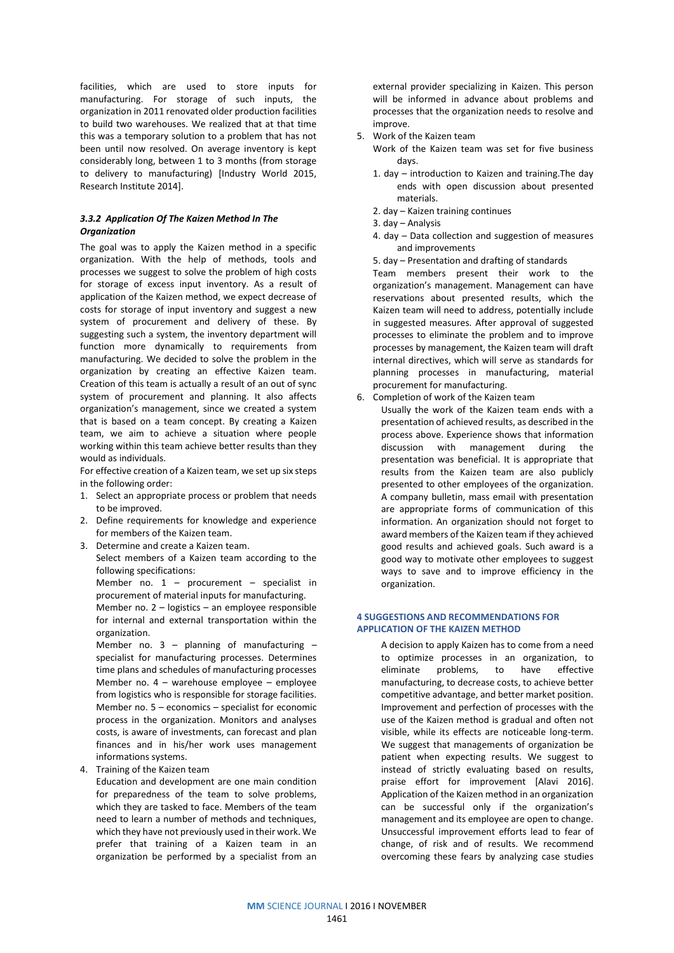facilities, which are used to store inputs for manufacturing. For storage of such inputs, the organization in 2011 renovated older production facilities to build two warehouses. We realized that at that time this was a temporary solution to a problem that has not been until now resolved. On average inventory is kept considerably long, between 1 to 3 months (from storage to delivery to manufacturing) [Industry World 2015, Research Institute 2014].

## *3.3.2 Application Of The Kaizen Method In The Organization*

The goal was to apply the Kaizen method in a specific organization. With the help of methods, tools and processes we suggest to solve the problem of high costs for storage of excess input inventory. As a result of application of the Kaizen method, we expect decrease of costs for storage of input inventory and suggest a new system of procurement and delivery of these. By suggesting such a system, the inventory department will function more dynamically to requirements from manufacturing. We decided to solve the problem in the organization by creating an effective Kaizen team. Creation of this team is actually a result of an out of sync system of procurement and planning. It also affects organization's management, since we created a system that is based on a team concept. By creating a Kaizen team, we aim to achieve a situation where people working within this team achieve better results than they would as individuals.

For effective creation of a Kaizen team, we set up six steps in the following order:

- 1. Select an appropriate process or problem that needs to be improved.
- 2. Define requirements for knowledge and experience for members of the Kaizen team.
- 3. Determine and create a Kaizen team. Select members of a Kaizen team according to the following specifications:
	- Member no.  $1$  procurement specialist in procurement of material inputs for manufacturing.
	- Member no. 2 logistics an employee responsible for internal and external transportation within the organization.

Member no.  $3 -$  planning of manufacturing  $$ specialist for manufacturing processes. Determines time plans and schedules of manufacturing processes Member no. 4 – warehouse employee – employee from logistics who is responsible for storage facilities. Member no. 5 – economics – specialist for economic process in the organization. Monitors and analyses costs, is aware of investments, can forecast and plan finances and in his/her work uses management informations systems.

4. Training of the Kaizen team

Education and development are one main condition for preparedness of the team to solve problems, which they are tasked to face. Members of the team need to learn a number of methods and techniques, which they have not previously used in their work. We prefer that training of a Kaizen team in an organization be performed by a specialist from an

external provider specializing in Kaizen. This person will be informed in advance about problems and processes that the organization needs to resolve and improve.

- 5. Work of the Kaizen team
	- Work of the Kaizen team was set for five business days.
	- 1. day introduction to Kaizen and training.The day ends with open discussion about presented materials.
	- 2. day Kaizen training continues
	- 3. day Analysis
	- 4. day Data collection and suggestion of measures and improvements
	- 5. day Presentation and drafting of standards

Team members present their work to the organization's management. Management can have reservations about presented results, which the Kaizen team will need to address, potentially include in suggested measures. After approval of suggested processes to eliminate the problem and to improve processes by management, the Kaizen team will draft internal directives, which will serve as standards for planning processes in manufacturing, material procurement for manufacturing.

6. Completion of work of the Kaizen team

Usually the work of the Kaizen team ends with a presentation of achieved results, as described in the process above. Experience shows that information discussion with management during the presentation was beneficial. It is appropriate that results from the Kaizen team are also publicly presented to other employees of the organization. A company bulletin, mass email with presentation are appropriate forms of communication of this information. An organization should not forget to award members of the Kaizen team if they achieved good results and achieved goals. Such award is a good way to motivate other employees to suggest ways to save and to improve efficiency in the organization.

## **4 SUGGESTIONS AND RECOMMENDATIONS FOR APPLICATION OF THE KAIZEN METHOD**

A decision to apply Kaizen has to come from a need to optimize processes in an organization, to eliminate problems, to have effective manufacturing, to decrease costs, to achieve better competitive advantage, and better market position. Improvement and perfection of processes with the use of the Kaizen method is gradual and often not visible, while its effects are noticeable long-term. We suggest that managements of organization be patient when expecting results. We suggest to instead of strictly evaluating based on results, praise effort for improvement [Alavi 2016]. Application of the Kaizen method in an organization can be successful only if the organization's management and its employee are open to change. Unsuccessful improvement efforts lead to fear of change, of risk and of results. We recommend overcoming these fears by analyzing case studies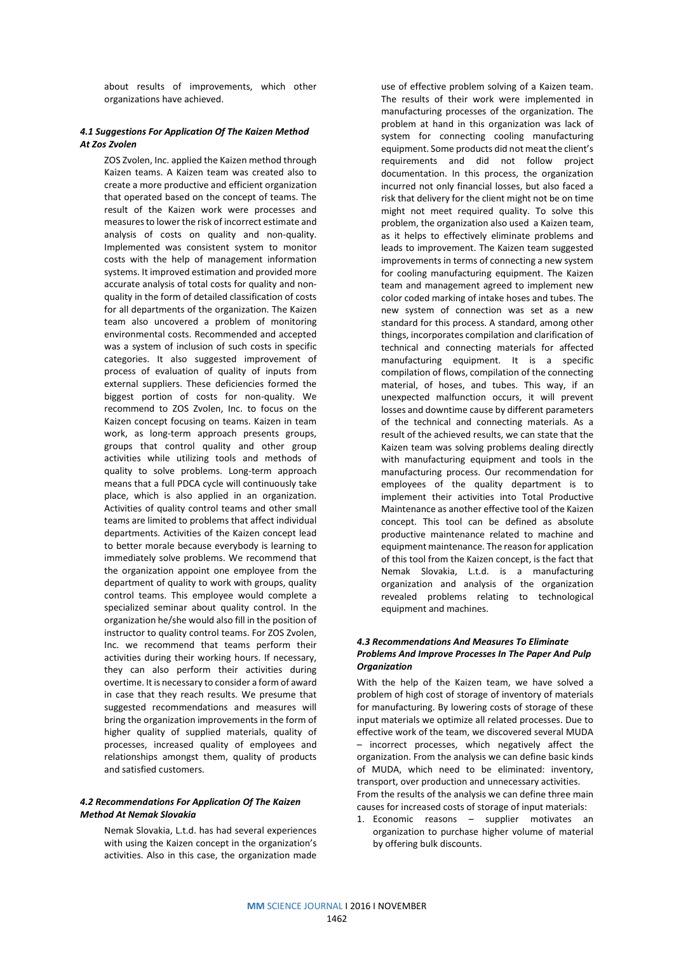about results of improvements, which other organizations have achieved.

## *4.1 Suggestions For Application Of The Kaizen Method At Zos Zvolen*

ZOS Zvolen, Inc. applied the Kaizen method through Kaizen teams. A Kaizen team was created also to create a more productive and efficient organization that operated based on the concept of teams. The result of the Kaizen work were processes and measures to lower the risk of incorrect estimate and analysis of costs on quality and non-quality. Implemented was consistent system to monitor costs with the help of management information systems. It improved estimation and provided more accurate analysis of total costs for quality and nonquality in the form of detailed classification of costs for all departments of the organization. The Kaizen team also uncovered a problem of monitoring environmental costs. Recommended and accepted was a system of inclusion of such costs in specific categories. It also suggested improvement of process of evaluation of quality of inputs from external suppliers. These deficiencies formed the biggest portion of costs for non-quality. We recommend to ZOS Zvolen, Inc. to focus on the Kaizen concept focusing on teams. Kaizen in team work, as long-term approach presents groups, groups that control quality and other group activities while utilizing tools and methods of quality to solve problems. Long-term approach means that a full PDCA cycle will continuously take place, which is also applied in an organization. Activities of quality control teams and other small teams are limited to problems that affect individual departments. Activities of the Kaizen concept lead to better morale because everybody is learning to immediately solve problems. We recommend that the organization appoint one employee from the department of quality to work with groups, quality control teams. This employee would complete a specialized seminar about quality control. In the organization he/she would also fill in the position of instructor to quality control teams. For ZOS Zvolen, Inc. we recommend that teams perform their activities during their working hours. If necessary, they can also perform their activities during overtime. It is necessary to consider a form of award in case that they reach results. We presume that suggested recommendations and measures will bring the organization improvements in the form of higher quality of supplied materials, quality of processes, increased quality of employees and relationships amongst them, quality of products and satisfied customers.

## *4.2 Recommendations For Application Of The Kaizen Method At Nemak Slovakia*

Nemak Slovakia, L.t.d. has had several experiences with using the Kaizen concept in the organization's activities. Also in this case, the organization made

use of effective problem solving of a Kaizen team. The results of their work were implemented in manufacturing processes of the organization. The problem at hand in this organization was lack of system for connecting cooling manufacturing equipment. Some products did not meat the client's requirements and did not follow project documentation. In this process, the organization incurred not only financial losses, but also faced a risk that delivery for the client might not be on time might not meet required quality. To solve this problem, the organization also used a Kaizen team, as it helps to effectively eliminate problems and leads to improvement. The Kaizen team suggested improvements in terms of connecting a new system for cooling manufacturing equipment. The Kaizen team and management agreed to implement new color coded marking of intake hoses and tubes. The new system of connection was set as a new standard for this process. A standard, among other things, incorporates compilation and clarification of technical and connecting materials for affected manufacturing equipment. It is a specific compilation of flows, compilation of the connecting material, of hoses, and tubes. This way, if an unexpected malfunction occurs, it will prevent losses and downtime cause by different parameters of the technical and connecting materials. As a result of the achieved results, we can state that the Kaizen team was solving problems dealing directly with manufacturing equipment and tools in the manufacturing process. Our recommendation for employees of the quality department is to implement their activities into Total Productive Maintenance as another effective tool of the Kaizen concept. This tool can be defined as absolute productive maintenance related to machine and equipment maintenance. The reason for application of this tool from the Kaizen concept, is the fact that Nemak Slovakia, L.t.d. is a manufacturing organization and analysis of the organization revealed problems relating to technological equipment and machines.

## *4.3 Recommendations And Measures To Eliminate Problems And Improve Processes In The Paper And Pulp Organization*

With the help of the Kaizen team, we have solved a problem of high cost of storage of inventory of materials for manufacturing. By lowering costs of storage of these input materials we optimize all related processes. Due to effective work of the team, we discovered several MUDA – incorrect processes, which negatively affect the organization. From the analysis we can define basic kinds of MUDA, which need to be eliminated: inventory, transport, over production and unnecessary activities. From the results of the analysis we can define three main causes for increased costs of storage of input materials:

1. Economic reasons – supplier motivates an organization to purchase higher volume of material by offering bulk discounts.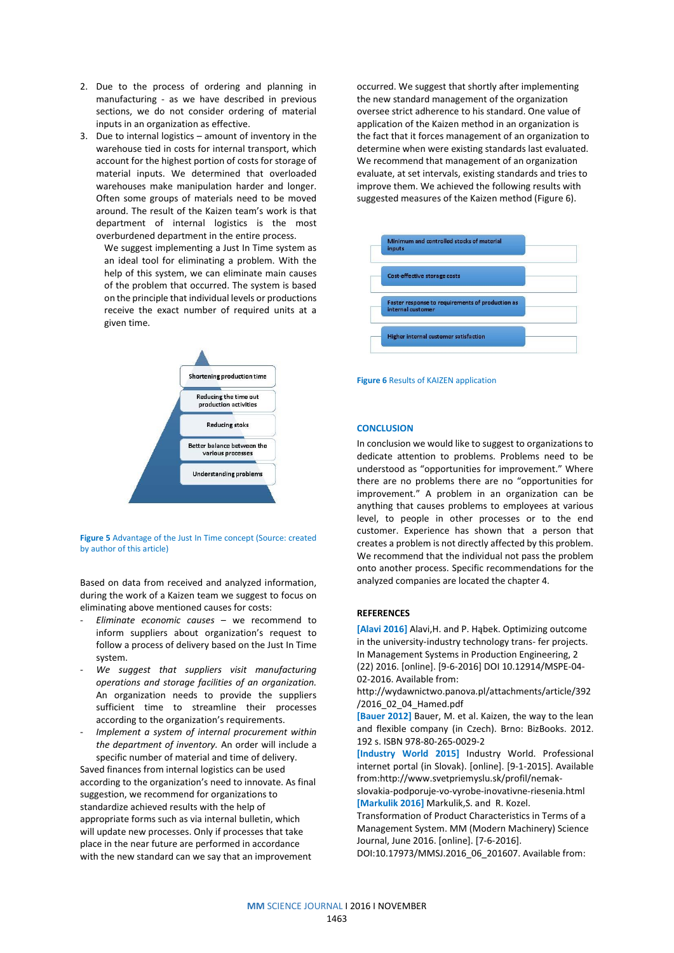- 2. Due to the process of ordering and planning in manufacturing - as we have described in previous sections, we do not consider ordering of material inputs in an organization as effective.
- 3. Due to internal logistics amount of inventory in the warehouse tied in costs for internal transport, which account for the highest portion of costs for storage of material inputs. We determined that overloaded warehouses make manipulation harder and longer. Often some groups of materials need to be moved around. The result of the Kaizen team's work is that department of internal logistics is the most overburdened department in the entire process.
	- We suggest implementing a Just In Time system as an ideal tool for eliminating a problem. With the help of this system, we can eliminate main causes of the problem that occurred. The system is based on the principle that individual levels or productions receive the exact number of required units at a given time.



#### **Figure 5** Advantage of the Just In Time concept (Source: created by author of this article)

Based on data from received and analyzed information, during the work of a Kaizen team we suggest to focus on eliminating above mentioned causes for costs:

- *Eliminate economic causes* we recommend to inform suppliers about organization's request to follow a process of delivery based on the Just In Time system.
- *We suggest that suppliers visit manufacturing operations and storage facilities of an organization.* An organization needs to provide the suppliers sufficient time to streamline their processes according to the organization's requirements.
- *Implement a system of internal procurement within the department of inventory.* An order will include a specific number of material and time of delivery.

Saved finances from internal logistics can be used according to the organization's need to innovate. As final suggestion, we recommend for organizations to standardize achieved results with the help of appropriate forms such as via internal bulletin, which will update new processes. Only if processes that take place in the near future are performed in accordance with the new standard can we say that an improvement

occurred. We suggest that shortly after implementing the new standard management of the organization oversee strict adherence to his standard. One value of application of the Kaizen method in an organization is the fact that it forces management of an organization to determine when were existing standards last evaluated. We recommend that management of an organization evaluate, at set intervals, existing standards and tries to improve them. We achieved the following results with suggested measures of the Kaizen method (Figure 6).



**Figure 6** Results of KAIZEN application

### **CONCLUSION**

In conclusion we would like to suggest to organizations to dedicate attention to problems. Problems need to be understood as "opportunities for improvement." Where there are no problems there are no "opportunities for improvement." A problem in an organization can be anything that causes problems to employees at various level, to people in other processes or to the end customer. Experience has shown that a person that creates a problem is not directly affected by this problem. We recommend that the individual not pass the problem onto another process. Specific recommendations for the analyzed companies are located the chapter 4.

#### **REFERENCES**

**[Alavi 2016]** Alavi,H. and P. Hąbek. Optimizing outcome in the university-industry technology trans- fer projects. In Management Systems in Production Engineering, 2 (22) 2016. [online]. [9-6-2016] DOI 10.12914/MSPE-04- 02-2016. Available from:

http://wydawnictwo.panova.pl/attachments/article/392 /2016\_02\_04\_Hamed.pdf

**[Bauer 2012]** Bauer, M. et al. Kaizen, the way to the lean and flexible company (in Czech). Brno: BizBooks. 2012. 192 s. ISBN 978-80-265-0029-2

**[Industry World 2015]** Industry World. Professional internet portal (in Slovak). [online]. [9-1-2015]. Available from:http://www.svetpriemyslu.sk/profil/nemak-

slovakia-podporuje-vo-vyrobe-inovativne-riesenia.html **[Markulik 2016]** Markulik,S. and R. Kozel.

Transformation of Product Characteristics in Terms of a Management System. MM (Modern Machinery) Science Journal, June 2016. [online]. [7-6-2016].

[DOI:10.17973/MMSJ.2016\\_06\\_201607.](http://dx.doi.org/10.17973/MMSJ.2016_06_201607) Available from: